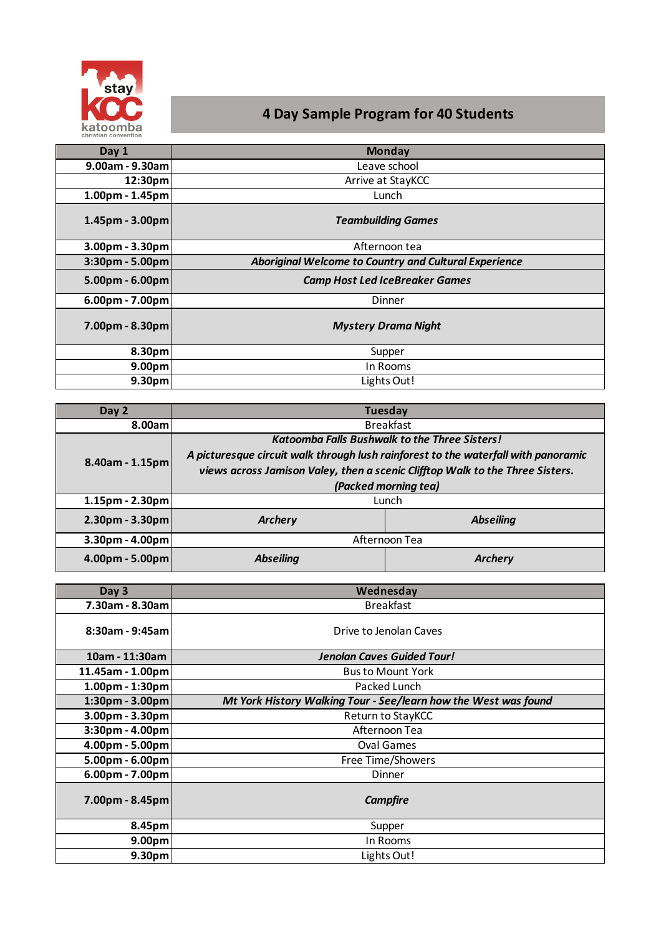

# **4 Day Sample Program for 40 Students**

| Day 1                 | <b>Monday</b>                                         |
|-----------------------|-------------------------------------------------------|
| $9.00$ am - $9.30$ am | Leave school                                          |
| 12:30pm               | Arrive at StayKCC                                     |
| $1.00pm - 1.45pm$     | Lunch                                                 |
| $1.45$ pm - 3.00pm    | <b>Teambuilding Games</b>                             |
| $3.00pm - 3.30pm$     | Afternoon tea                                         |
| 3:30pm - 5.00pm       | Aboriginal Welcome to Country and Cultural Experience |
| $5.00pm - 6.00pm$     | <b>Camp Host Led IceBreaker Games</b>                 |
| $6.00pm - 7.00pm$     | Dinner                                                |
| $7.00pm - 8.30pm$     | <b>Mystery Drama Night</b>                            |
| 8.30pm                | Supper                                                |
| 9.00 <sub>pm</sub>    | In Rooms                                              |
| 9.30 <sub>pm</sub>    | Lights Out!                                           |

| Day 2              |                                                                                    | <b>Tuesday</b>                                       |
|--------------------|------------------------------------------------------------------------------------|------------------------------------------------------|
| 8.00aml            | <b>Breakfast</b>                                                                   |                                                      |
| $8.40$ am - 1.15pm |                                                                                    | <b>Katoomba Falls Bushwalk to the Three Sisters!</b> |
|                    | A picturesque circuit walk through lush rainforest to the waterfall with panoramic |                                                      |
|                    | views across Jamison Valey, then a scenic Clifftop Walk to the Three Sisters.      |                                                      |
|                    |                                                                                    | (Packed morning tea)                                 |
| $1.15pm - 2.30pm$  | Lunch                                                                              |                                                      |
| $2.30pm - 3.30pm$  | <b>Archery</b>                                                                     | <b>Abseiling</b>                                     |
| $3.30pm - 4.00pm$  | Afternoon Tea                                                                      |                                                      |
| $4.00pm - 5.00pm$  | <b>Abseiling</b>                                                                   | <b>Archerv</b>                                       |

| Day 3              | Wednesday                                                       |
|--------------------|-----------------------------------------------------------------|
| 7.30am - 8.30am    | <b>Breakfast</b>                                                |
| 8:30am - 9:45am    | Drive to Jenolan Caves                                          |
| 10am - 11:30am     | <b>Jenolan Caves Guided Tour!</b>                               |
| 11.45am - 1.00pm   | <b>Bus to Mount York</b>                                        |
| $1.00pm - 1:30pm$  | Packed Lunch                                                    |
| $1:30pm - 3.00pm$  | Mt York History Walking Tour - See/learn how the West was found |
| $3.00pm - 3.30pm$  | Return to StayKCC                                               |
| $3:30pm - 4.00pm$  | Afternoon Tea                                                   |
| $4.00pm - 5.00pm$  | <b>Oval Games</b>                                               |
| $5.00pm - 6.00pm$  | Free Time/Showers                                               |
| $6.00pm - 7.00pm$  | Dinner                                                          |
| 7.00pm - 8.45pm    | <b>Campfire</b>                                                 |
| 8.45pm             | Supper                                                          |
| 9.00 <sub>pm</sub> | In Rooms                                                        |
| 9.30 <sub>pm</sub> | Lights Out!                                                     |